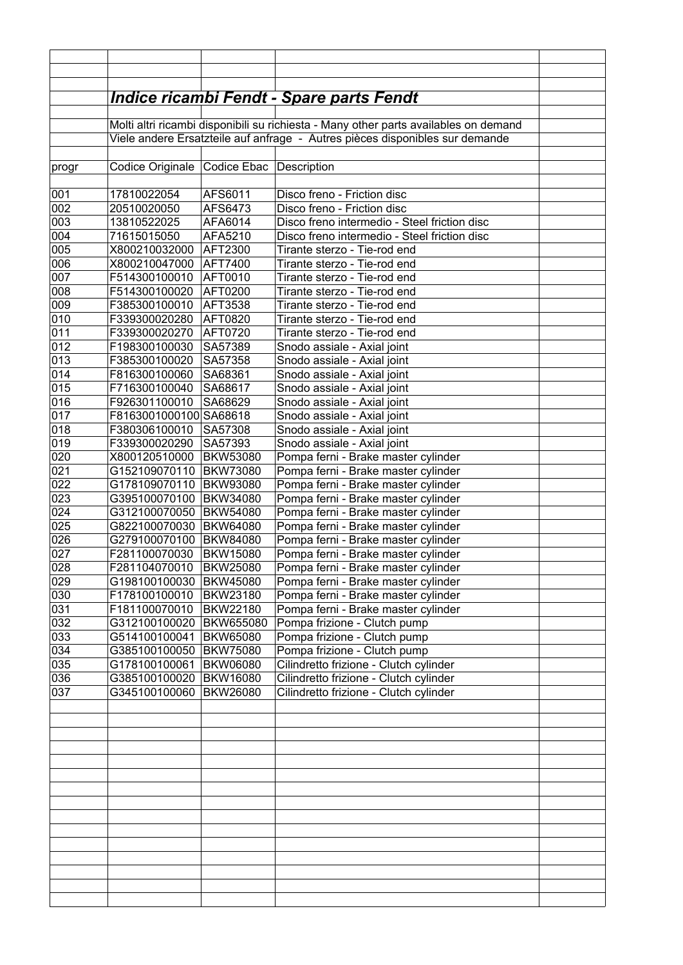|            |                                                                                      |                                    | <u> Indice ricambi Fendt - Spare parts Fendt</u>                           |  |  |
|------------|--------------------------------------------------------------------------------------|------------------------------------|----------------------------------------------------------------------------|--|--|
|            |                                                                                      |                                    |                                                                            |  |  |
|            | Molti altri ricambi disponibili su richiesta - Many other parts availables on demand |                                    |                                                                            |  |  |
|            | Viele andere Ersatzteile auf anfrage - Autres pièces disponibles sur demande         |                                    |                                                                            |  |  |
|            |                                                                                      |                                    |                                                                            |  |  |
| progr      | Codice Originale Codice Ebac Description                                             |                                    |                                                                            |  |  |
|            |                                                                                      |                                    |                                                                            |  |  |
| 001        | 17810022054                                                                          | AFS6011                            | Disco freno - Friction disc                                                |  |  |
| 002        | 20510020050                                                                          | AFS6473                            | Disco freno - Friction disc                                                |  |  |
| 003        | 13810522025                                                                          | AFA6014                            | Disco freno intermedio - Steel friction disc                               |  |  |
| 004        | 71615015050                                                                          | AFA5210                            | Disco freno intermedio - Steel friction disc                               |  |  |
| 005        | X800210032000                                                                        | AFT2300                            | Tirante sterzo - Tie-rod end                                               |  |  |
| 006        | X800210047000                                                                        | AFT7400                            | Tirante sterzo - Tie-rod end                                               |  |  |
| 007        | F514300100010                                                                        | AFT0010                            | Tirante sterzo - Tie-rod end                                               |  |  |
| 008        | F514300100020                                                                        | AFT0200                            | Tirante sterzo - Tie-rod end                                               |  |  |
| 009        | F385300100010                                                                        | AFT3538                            | Tirante sterzo - Tie-rod end                                               |  |  |
| 010        | F339300020280                                                                        | AFT0820                            | Tirante sterzo - Tie-rod end                                               |  |  |
| 011        | F339300020270                                                                        | AFT0720                            | Tirante sterzo - Tie-rod end                                               |  |  |
| 012        | F198300100030                                                                        | SA57389                            | Snodo assiale - Axial joint                                                |  |  |
| 013        | F385300100020                                                                        | SA57358                            | Snodo assiale - Axial joint                                                |  |  |
| 014        | F816300100060                                                                        | SA68361                            | Snodo assiale - Axial joint                                                |  |  |
| 015        | F716300100040                                                                        | SA68617                            | Snodo assiale - Axial joint                                                |  |  |
| 016        | F926301100010                                                                        | SA68629                            | Snodo assiale - Axial joint                                                |  |  |
| 017        | F8163001000100 SA68618                                                               |                                    | Snodo assiale - Axial joint                                                |  |  |
| 018        | F380306100010                                                                        | SA57308                            | Snodo assiale - Axial joint                                                |  |  |
| 019        | F339300020290                                                                        | SA57393                            | Snodo assiale - Axial joint                                                |  |  |
| 020        | X800120510000                                                                        | <b>BKW53080</b>                    | Pompa ferni - Brake master cylinder                                        |  |  |
| 021        | G152109070110  BKW73080                                                              |                                    | Pompa ferni - Brake master cylinder                                        |  |  |
| 022        | G178109070110 BKW93080                                                               |                                    | Pompa ferni - Brake master cylinder                                        |  |  |
| 023        | G395100070100 BKW34080                                                               |                                    | Pompa ferni - Brake master cylinder                                        |  |  |
| 024        | G312100070050 BKW54080                                                               |                                    | Pompa ferni - Brake master cylinder                                        |  |  |
| 025        | G822100070030 BKW64080                                                               |                                    | Pompa ferni - Brake master cylinder                                        |  |  |
| 026        | G279100070100 BKW84080                                                               |                                    | Pompa ferni - Brake master cylinder                                        |  |  |
| 027        | F281100070030                                                                        | <b>BKW15080</b>                    | Pompa ferni - Brake master cylinder                                        |  |  |
| 028        | F281104070010<br>G198100100030                                                       | <b>BKW25080</b>                    | Pompa ferni - Brake master cylinder                                        |  |  |
| 029<br>030 | F178100100010                                                                        | <b>BKW45080</b><br><b>BKW23180</b> | Pompa ferni - Brake master cylinder                                        |  |  |
| 031        | F181100070010                                                                        | <b>BKW22180</b>                    | Pompa ferni - Brake master cylinder<br>Pompa ferni - Brake master cylinder |  |  |
| 032        | G312100100020                                                                        | BKW655080                          | Pompa frizione - Clutch pump                                               |  |  |
| 033        | G514100100041                                                                        | <b>BKW65080</b>                    | Pompa frizione - Clutch pump                                               |  |  |
| 034        | G385100100050                                                                        | <b>BKW75080</b>                    | Pompa frizione - Clutch pump                                               |  |  |
| 035        | G178100100061                                                                        | <b>BKW06080</b>                    | Cilindretto frizione - Clutch cylinder                                     |  |  |
| 036        | G385100100020                                                                        | <b>BKW16080</b>                    | Cilindretto frizione - Clutch cylinder                                     |  |  |
| 037        | G345100100060                                                                        | <b>BKW26080</b>                    | Cilindretto frizione - Clutch cylinder                                     |  |  |
|            |                                                                                      |                                    |                                                                            |  |  |
|            |                                                                                      |                                    |                                                                            |  |  |
|            |                                                                                      |                                    |                                                                            |  |  |
|            |                                                                                      |                                    |                                                                            |  |  |
|            |                                                                                      |                                    |                                                                            |  |  |
|            |                                                                                      |                                    |                                                                            |  |  |
|            |                                                                                      |                                    |                                                                            |  |  |
|            |                                                                                      |                                    |                                                                            |  |  |
|            |                                                                                      |                                    |                                                                            |  |  |
|            |                                                                                      |                                    |                                                                            |  |  |
|            |                                                                                      |                                    |                                                                            |  |  |
|            |                                                                                      |                                    |                                                                            |  |  |
|            |                                                                                      |                                    |                                                                            |  |  |
|            |                                                                                      |                                    |                                                                            |  |  |
|            |                                                                                      |                                    |                                                                            |  |  |